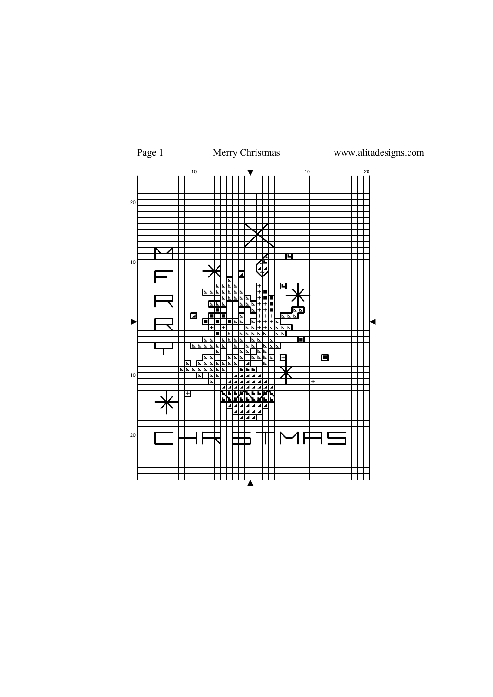